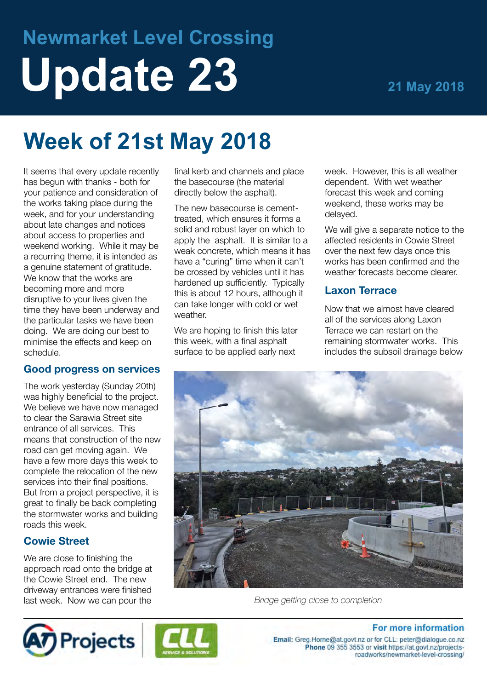# **Newmarket Level Crossing Update 23 21 May 2018**

## **Week of 21st May 2018**

It seems that every update recently has begun with thanks - both for your patience and consideration of the works taking place during the week, and for your understanding about late changes and notices about access to properties and weekend working. While it may be a recurring theme, it is intended as a genuine statement of gratitude. We know that the works are becoming more and more disruptive to your lives given the time they have been underway and the particular tasks we have been doing. We are doing our best to minimise the effects and keep on schedule.

#### **Good progress on services**

The work yesterday (Sunday 20th) was highly beneficial to the project. We believe we have now managed to clear the Sarawia Street site entrance of all services. This means that construction of the new road can get moving again. We have a few more days this week to complete the relocation of the new services into their final positions. But from a project perspective, it is great to finally be back completing the stormwater works and building roads this week.

#### **Cowie Street**

We are close to finishing the approach road onto the bridge at the Cowie Street end. The new driveway entrances were finished last week. Now we can pour the

final kerb and channels and place the basecourse (the material directly below the asphalt).

The new basecourse is cementtreated, which ensures it forms a solid and robust layer on which to apply the asphalt. It is similar to a weak concrete, which means it has have a "curing" time when it can't be crossed by vehicles until it has hardened up sufficiently. Typically this is about 12 hours, although it can take longer with cold or wet weather.

We are hoping to finish this later this week, with a final asphalt surface to be applied early next

week. However, this is all weather dependent. With wet weather forecast this week and coming weekend, these works may be delayed.

We will give a separate notice to the affected residents in Cowie Street over the next few days once this works has been confirmed and the weather forecasts become clearer.

#### **Laxon Terrace**

Now that we almost have cleared all of the services along Laxon Terrace we can restart on the remaining stormwater works. This includes the subsoil drainage below



*Bridge getting close to completion*